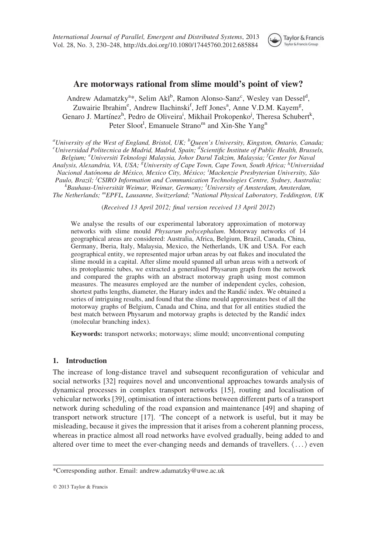Taylor & Francis Taylor & Francis Group

# Are motorways rational from slime mould's point of view?

Andrew Adamatzky<sup>a\*</sup>, Selim Akl<sup>b</sup>, Ramon Alonso-Sanz<sup>c</sup>, Wesley van Dessel<sup>d</sup>, Zuwairie Ibrahim<sup>e</sup>, Andrew Ilachinski<sup>f</sup>, Jeff Jones<sup>a</sup>, Anne V.D.M. Kayem<sup>g</sup>, Genaro J. Martínez<sup>h</sup>, Pedro de Oliveira<sup>i</sup>, Mikhail Prokopenko<sup>j</sup>, Theresa Schubert<sup>k</sup>, Peter Sloot<sup>1</sup>, Emanuele Strano<sup>m</sup> and Xin-She Yang<sup>n</sup>

<sup>a</sup>University of the West of England, Bristol, UK; <sup>b</sup>Queen's University, Kingston, Ontario, Canada;<br><sup>c</sup>Universidad Politecnica de Madrid, Madrid, Spain: <sup>d</sup>Scientific Institute of Public Health, Brussels Universidad Politecnica de Madrid, Madrid, Spain; <sup>d</sup>Scientific Institute of Public Health, Brussels, Belgium; <sup>e</sup>Universiti Teknologi Malaysia, Johor Darul Takzim, Malaysia; <sup>f</sup>Center for Naval Analysis, Alexandria, VA, USA; <sup>8</sup>University of Cape Town, Cape Town, South Africa; <sup>h</sup>Universidad Nacional Autónoma de México, Mexico City, México; <sup>i</sup>Mackenzie Presbyterian University, São Paulo, Brazil; <sup>j</sup>CSIRO Information and Communication Technologies Centre, Sydney, Australia;  $k$ Bauhaus-Universität Weimar, Weimar, Germany;  ${}^{l}$ University of Amsterdam, Amsterdam, The Netherlands; "EPFL, Lausanne, Switzerland; "National Physical Laboratory, Teddington, UK

(Received 13 April 2012; final version received 13 April 2012)

We analyse the results of our experimental laboratory approximation of motorway networks with slime mould Physarum polycephalum. Motorway networks of 14 geographical areas are considered: Australia, Africa, Belgium, Brazil, Canada, China, Germany, Iberia, Italy, Malaysia, Mexico, the Netherlands, UK and USA. For each geographical entity, we represented major urban areas by oat flakes and inoculated the slime mould in a capital. After slime mould spanned all urban areas with a network of its protoplasmic tubes, we extracted a generalised Physarum graph from the network and compared the graphs with an abstract motorway graph using most common measures. The measures employed are the number of independent cycles, cohesion, shortest paths lengths, diameter, the Harary index and the Randic´ index. We obtained a series of intriguing results, and found that the slime mould approximates best of all the motorway graphs of Belgium, Canada and China, and that for all entities studied the best match between Physarum and motorway graphs is detected by the Randic´ index (molecular branching index).

Keywords: transport networks; motorways; slime mould; unconventional computing

# 1. Introduction

The increase of long-distance travel and subsequent reconfiguration of vehicular and social networks [32] requires novel and unconventional approaches towards analysis of dynamical processes in complex transport networks [15], routing and localisation of vehicular networks [39], optimisation of interactions between different parts of a transport network during scheduling of the road expansion and maintenance [49] and shaping of transport network structure [17]. 'The concept of a network is useful, but it may be misleading, because it gives the impression that it arises from a coherent planning process, whereas in practice almost all road networks have evolved gradually, being added to and altered over time to meet the ever-changing needs and demands of travellers.  $\langle \ldots \rangle$  even

<sup>\*</sup>Corresponding author. Email: andrew.adamatzky@uwe.ac.uk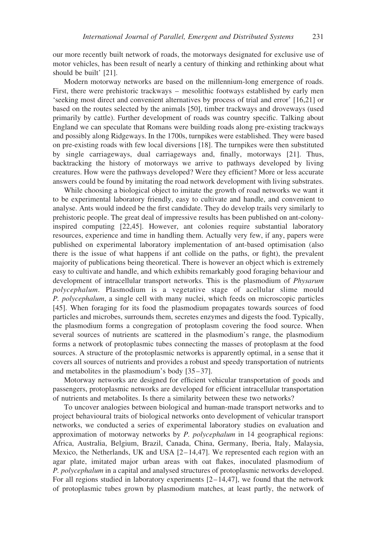our more recently built network of roads, the motorways designated for exclusive use of motor vehicles, has been result of nearly a century of thinking and rethinking about what should be built' [21].

Modern motorway networks are based on the millennium-long emergence of roads. First, there were prehistoric trackways – mesolithic footways established by early men 'seeking most direct and convenient alternatives by process of trial and error' [16,21] or based on the routes selected by the animals [50], timber trackways and droveways (used primarily by cattle). Further development of roads was country specific. Talking about England we can speculate that Romans were building roads along pre-existing trackways and possibly along Ridgeways. In the 1700s, turnpikes were established. They were based on pre-existing roads with few local diversions [18]. The turnpikes were then substituted by single carriageways, dual carriageways and, finally, motorways [21]. Thus, backtracking the history of motorways we arrive to pathways developed by living creatures. How were the pathways developed? Were they efficient? More or less accurate answers could be found by imitating the road network development with living substrates.

While choosing a biological object to imitate the growth of road networks we want it to be experimental laboratory friendly, easy to cultivate and handle, and convenient to analyse. Ants would indeed be the first candidate. They do develop trails very similarly to prehistoric people. The great deal of impressive results has been published on ant-colonyinspired computing [22,45]. However, ant colonies require substantial laboratory resources, experience and time in handling them. Actually very few, if any, papers were published on experimental laboratory implementation of ant-based optimisation (also there is the issue of what happens if ant collide on the paths, or fight), the prevalent majority of publications being theoretical. There is however an object which is extremely easy to cultivate and handle, and which exhibits remarkably good foraging behaviour and development of intracellular transport networks. This is the plasmodium of Physarum polycephalum. Plasmodium is a vegetative stage of acellular slime mould P. polycephalum, a single cell with many nuclei, which feeds on microscopic particles [45]. When foraging for its food the plasmodium propagates towards sources of food particles and microbes, surrounds them, secretes enzymes and digests the food. Typically, the plasmodium forms a congregation of protoplasm covering the food source. When several sources of nutrients are scattered in the plasmodium's range, the plasmodium forms a network of protoplasmic tubes connecting the masses of protoplasm at the food sources. A structure of the protoplasmic networks is apparently optimal, in a sense that it covers all sources of nutrients and provides a robust and speedy transportation of nutrients and metabolites in the plasmodium's body  $[35-37]$ .

Motorway networks are designed for efficient vehicular transportation of goods and passengers, protoplasmic networks are developed for efficient intracellular transportation of nutrients and metabolites. Is there a similarity between these two networks?

To uncover analogies between biological and human-made transport networks and to project behavioural traits of biological networks onto development of vehicular transport networks, we conducted a series of experimental laboratory studies on evaluation and approximation of motorway networks by P. polycephalum in 14 geographical regions: Africa, Australia, Belgium, Brazil, Canada, China, Germany, Iberia, Italy, Malaysia, Mexico, the Netherlands, UK and USA  $[2-14,47]$ . We represented each region with an agar plate, imitated major urban areas with oat flakes, inoculated plasmodium of P. polycephalum in a capital and analysed structures of protoplasmic networks developed. For all regions studied in laboratory experiments  $[2-14,47]$ , we found that the network of protoplasmic tubes grown by plasmodium matches, at least partly, the network of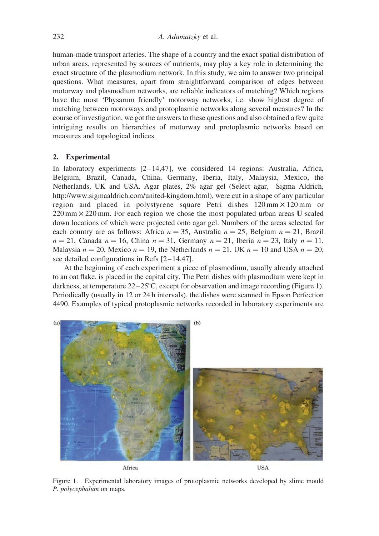human-made transport arteries. The shape of a country and the exact spatial distribution of urban areas, represented by sources of nutrients, may play a key role in determining the exact structure of the plasmodium network. In this study, we aim to answer two principal questions. What measures, apart from straightforward comparison of edges between motorway and plasmodium networks, are reliable indicators of matching? Which regions have the most 'Physarum friendly' motorway networks, i.e. show highest degree of matching between motorways and protoplasmic networks along several measures? In the course of investigation, we got the answers to these questions and also obtained a few quite intriguing results on hierarchies of motorway and protoplasmic networks based on measures and topological indices.

# 2. Experimental

In laboratory experiments  $[2-14,47]$ , we considered 14 regions: Australia, Africa, Belgium, Brazil, Canada, China, Germany, Iberia, Italy, Malaysia, Mexico, the Netherlands, UK and USA. Agar plates, 2% agar gel (Select agar, Sigma Aldrich, http://www.sigmaaldrich.com/united-kingdom.html), were cut in a shape of any particular region and placed in polystyrene square Petri dishes  $120 \text{ mm} \times 120 \text{ mm}$  or  $220 \text{ mm} \times 220 \text{ mm}$ . For each region we chose the most populated urban areas U scaled down locations of which were projected onto agar gel. Numbers of the areas selected for each country are as follows: Africa  $n = 35$ , Australia  $n = 25$ , Belgium  $n = 21$ , Brazil  $n = 21$ , Canada  $n = 16$ , China  $n = 31$ , Germany  $n = 21$ , Iberia  $n = 23$ , Italy  $n = 11$ , Malaysia  $n = 20$ , Mexico  $n = 19$ , the Netherlands  $n = 21$ , UK  $n = 10$  and USA  $n = 20$ , see detailed configurations in Refs  $[2-14,47]$ .

At the beginning of each experiment a piece of plasmodium, usually already attached to an oat flake, is placed in the capital city. The Petri dishes with plasmodium were kept in darkness, at temperature  $22-25^{\circ}$ C, except for observation and image recording (Figure 1). Periodically (usually in 12 or 24 h intervals), the dishes were scanned in Epson Perfection 4490. Examples of typical protoplasmic networks recorded in laboratory experiments are



Figure 1. Experimental laboratory images of protoplasmic networks developed by slime mould P. polycephalum on maps.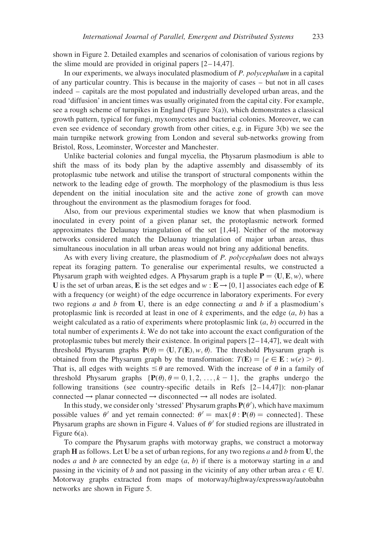shown in Figure 2. Detailed examples and scenarios of colonisation of various regions by the slime mould are provided in original papers  $[2-14,47]$ .

In our experiments, we always inoculated plasmodium of P. polycephalum in a capital of any particular country. This is because in the majority of cases – but not in all cases indeed – capitals are the most populated and industrially developed urban areas, and the road 'diffusion' in ancient times was usually originated from the capital city. For example, see a rough scheme of turnpikes in England (Figure  $3(a)$ ), which demonstrates a classical growth pattern, typical for fungi, myxomycetes and bacterial colonies. Moreover, we can even see evidence of secondary growth from other cities, e.g. in Figure 3(b) we see the main turnpike network growing from London and several sub-networks growing from Bristol, Ross, Leominster, Worcester and Manchester.

Unlike bacterial colonies and fungal mycelia, the Physarum plasmodium is able to shift the mass of its body plan by the adaptive assembly and disassembly of its protoplasmic tube network and utilise the transport of structural components within the network to the leading edge of growth. The morphology of the plasmodium is thus less dependent on the initial inoculation site and the active zone of growth can move throughout the environment as the plasmodium forages for food.

Also, from our previous experimental studies we know that when plasmodium is inoculated in every point of a given planar set, the protoplasmic network formed approximates the Delaunay triangulation of the set [1,44]. Neither of the motorway networks considered match the Delaunay triangulation of major urban areas, thus simultaneous inoculation in all urban areas would not bring any additional benefits.

As with every living creature, the plasmodium of P. polycephalum does not always repeat its foraging pattern. To generalise our experimental results, we constructed a Physarum graph with weighted edges. A Physarum graph is a tuple  $P = \langle U, E, w \rangle$ , where U is the set of urban areas, E is the set edges and  $w : E \rightarrow [0, 1]$  associates each edge of E with a frequency (or weight) of the edge occurrence in laboratory experiments. For every two regions  $a$  and  $b$  from U, there is an edge connecting  $a$  and  $b$  if a plasmodium's protoplasmic link is recorded at least in one of  $k$  experiments, and the edge  $(a, b)$  has a weight calculated as a ratio of experiments where protoplasmic link  $(a, b)$  occurred in the total number of experiments k. We do not take into account the exact configuration of the protoplasmic tubes but merely their existence. In original papers  $[2-14,47]$ , we dealt with threshold Physarum graphs  $P(\theta) = \langle U, T(E), w, \theta \rangle$ . The threshold Physarum graph is obtained from the Physarum graph by the transformation:  $T(\mathbf{E}) = \{e \in \mathbf{E} : w(e) > \theta\}.$ That is, all edges with weights  $\leq \theta$  are removed. With the increase of  $\theta$  in a family of threshold Physarum graphs {P( $\theta$ ),  $\theta = 0, 1, 2, ..., k - 1$ }, the graphs undergo the following transitions (see country-specific details in Refs  $[2-14,47]$ ): non-planar connected  $\rightarrow$  planar connected  $\rightarrow$  disconnected  $\rightarrow$  all nodes are isolated.

In this study, we consider only 'stressed' Physarum graphs  $P(\theta')$ , which have maximum possible values  $\theta'$  and yet remain connected:  $\theta' = \max{\theta : \mathbf{P}(\theta) = \text{connected}}$ . These Physarum graphs are shown in Figure 4. Values of  $\theta'$  for studied regions are illustrated in Figure 6(a).

To compare the Physarum graphs with motorway graphs, we construct a motorway graph  $H$  as follows. Let U be a set of urban regions, for any two regions a and b from U, the nodes a and b are connected by an edge  $(a, b)$  if there is a motorway starting in a and passing in the vicinity of b and not passing in the vicinity of any other urban area  $c \in U$ . Motorway graphs extracted from maps of motorway/highway/expressway/autobahn networks are shown in Figure 5.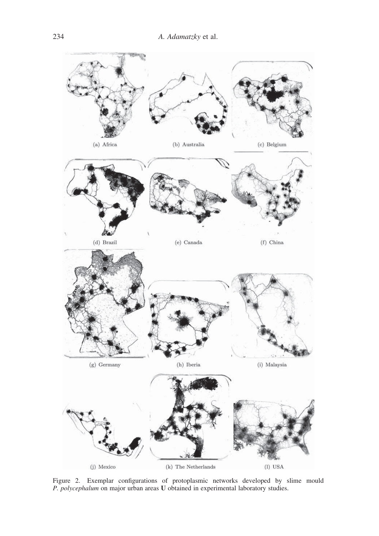

Figure 2. Exemplar configurations of protoplasmic networks developed by slime mould P. polycephalum on major urban areas U obtained in experimental laboratory studies.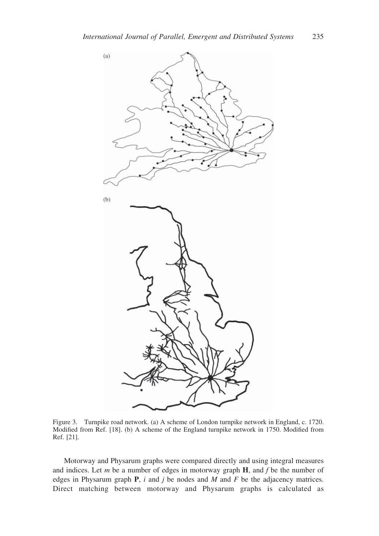

Figure 3. Turnpike road network. (a) A scheme of London turnpike network in England, c. 1720. Modified from Ref. [18]. (b) A scheme of the England turnpike network in 1750. Modified from Ref. [21].

Motorway and Physarum graphs were compared directly and using integral measures and indices. Let  $m$  be a number of edges in motorway graph  $H$ , and  $f$  be the number of edges in Physarum graph  $P$ , *i* and *j* be nodes and *M* and *F* be the adjacency matrices. Direct matching between motorway and Physarum graphs is calculated as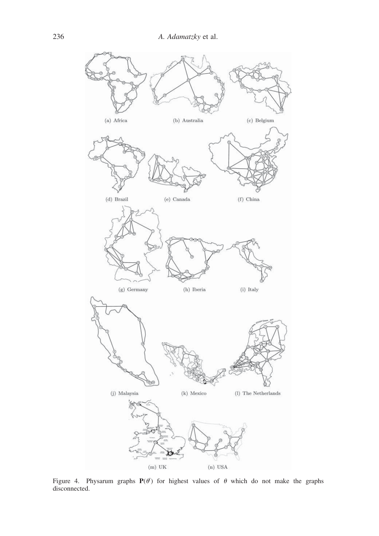

Figure 4. Physarum graphs  $P(\theta)$  for highest values of  $\theta$  which do not make the graphs disconnected.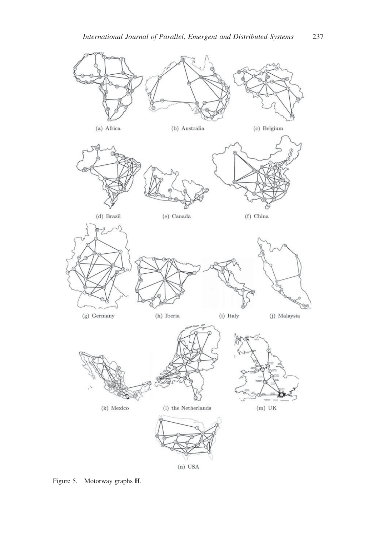

Figure 5. Motorway graphs H.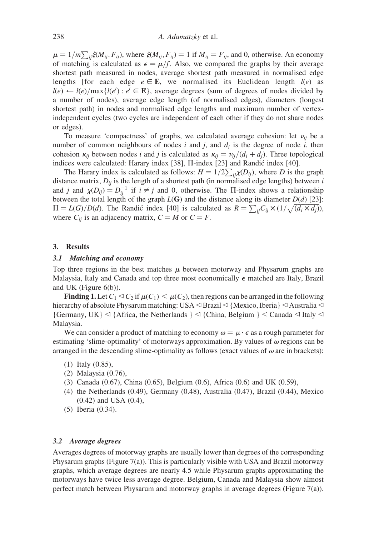$\mu = 1/m \sum_{ij} \xi(M_{ij}, F_{ij})$ , where  $\xi(M_{ij}, F_{ij}) = 1$  if  $M_{ij} = F_{ij}$ , and 0, otherwise. An economy of matching is calculated as  $\epsilon = \mu/f$ . Also, we compared the graphs by their average shortest path measured in nodes, average shortest path measured in normalised edge lengths [for each edge  $e \in E$ , we normalised its Euclidean length  $l(e)$  as  $l(e) \leftarrow l(e) / \max{l(e') : e' \in E}$ , average degrees (sum of degrees of nodes divided by a number of nodes), average edge length (of normalised edges), diameters (longest shortest path) in nodes and normalised edge lengths and maximum number of vertexindependent cycles (two cycles are independent of each other if they do not share nodes or edges).

To measure 'compactness' of graphs, we calculated average cohesion: let  $v_{ii}$  be a number of common neighbours of nodes  $i$  and  $j$ , and  $d_i$  is the degree of node  $i$ , then cohesion  $\kappa_{ii}$  between nodes i and j is calculated as  $\kappa_{ii} = \nu_{ii}/(d_i + d_i)$ . Three topological indices were calculated: Harary index [38],  $\Pi$ -index [23] and Randić index [40].

The Harary index is calculated as follows:  $H = 1/2 \sum_{ij} \chi(D_{ij})$ , where D is the graph distance matrix,  $D_{ij}$  is the length of a shortest path (in normalised edge lengths) between i and j and  $\chi(D_{ij}) = D_{ij}^{-1}$  if  $i \neq j$  and 0, otherwise. The  $\Pi$ -index shows a relationship between the total length of the graph  $L(G)$  and the distance along its diameter  $D(d)$  [23]:  $\Pi = L(G)/D(d)$ . The Randic´ index [40] is calculated as  $R = \sum_{ij} C_{ij} \times (1/\sqrt{(d_i \times d_j)})$ , where  $C_{ij}$  is an adjacency matrix,  $C = M$  or  $C = F$ .

### 3. Results

#### 3.1 Matching and economy

Top three regions in the best matches  $\mu$  between motorway and Physarum graphs are Malaysia, Italy and Canada and top three most economically  $\epsilon$  matched are Italy, Brazil and UK (Figure 6(b)).

**Finding 1.** Let  $C_1 \triangleleft C_2$  if  $\mu(C_1) \leq \mu(C_2)$ , then regions can be arranged in the following hierarchy of absolute Physarum matching: USA  $\triangleleft$  Brazil  $\triangleleft$  {Mexico, Iberia}  $\triangleleft$  Australia  $\triangleleft$ {Germany, UK}  $\lhd$  {Africa, the Netherlands }  $\lhd$  {China, Belgium }  $\lhd$  Canada  $\lhd$  Italy  $\lhd$ Malaysia.

We can consider a product of matching to economy  $\omega = \mu \cdot \epsilon$  as a rough parameter for estimating 'slime-optimality' of motorways approximation. By values of  $\omega$  regions can be arranged in the descending slime-optimality as follows (exact values of  $\omega$  are in brackets):

- (1) Italy (0.85),
- (2) Malaysia (0.76),
- (3) Canada (0.67), China (0.65), Belgium (0.6), Africa (0.6) and UK (0.59),
- (4) the Netherlands (0.49), Germany (0.48), Australia (0.47), Brazil (0.44), Mexico (0.42) and USA (0.4),
- (5) Iberia (0.34).

#### 3.2 Average degrees

Averages degrees of motorway graphs are usually lower than degrees of the corresponding Physarum graphs (Figure 7(a)). This is particularly visible with USA and Brazil motorway graphs, which average degrees are nearly 4.5 while Physarum graphs approximating the motorways have twice less average degree. Belgium, Canada and Malaysia show almost perfect match between Physarum and motorway graphs in average degrees (Figure 7(a)).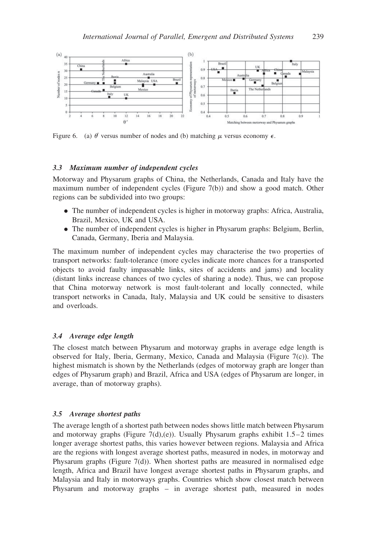

Figure 6. (a)  $\theta$  versus number of nodes and (b) matching  $\mu$  versus economy  $\epsilon$ .

### 3.3 Maximum number of independent cycles

Motorway and Physarum graphs of China, the Netherlands, Canada and Italy have the maximum number of independent cycles (Figure 7(b)) and show a good match. Other regions can be subdivided into two groups:

- . The number of independent cycles is higher in motorway graphs: Africa, Australia, Brazil, Mexico, UK and USA.
- . The number of independent cycles is higher in Physarum graphs: Belgium, Berlin, Canada, Germany, Iberia and Malaysia.

The maximum number of independent cycles may characterise the two properties of transport networks: fault-tolerance (more cycles indicate more chances for a transported objects to avoid faulty impassable links, sites of accidents and jams) and locality (distant links increase chances of two cycles of sharing a node). Thus, we can propose that China motorway network is most fault-tolerant and locally connected, while transport networks in Canada, Italy, Malaysia and UK could be sensitive to disasters and overloads.

### 3.4 Average edge length

The closest match between Physarum and motorway graphs in average edge length is observed for Italy, Iberia, Germany, Mexico, Canada and Malaysia (Figure 7(c)). The highest mismatch is shown by the Netherlands (edges of motorway graph are longer than edges of Physarum graph) and Brazil, Africa and USA (edges of Physarum are longer, in average, than of motorway graphs).

# 3.5 Average shortest paths

The average length of a shortest path between nodes shows little match between Physarum and motorway graphs (Figure 7(d),(e)). Usually Physarum graphs exhibit  $1.5-2$  times longer average shortest paths, this varies however between regions. Malaysia and Africa are the regions with longest average shortest paths, measured in nodes, in motorway and Physarum graphs (Figure 7(d)). When shortest paths are measured in normalised edge length, Africa and Brazil have longest average shortest paths in Physarum graphs, and Malaysia and Italy in motorways graphs. Countries which show closest match between Physarum and motorway graphs – in average shortest path, measured in nodes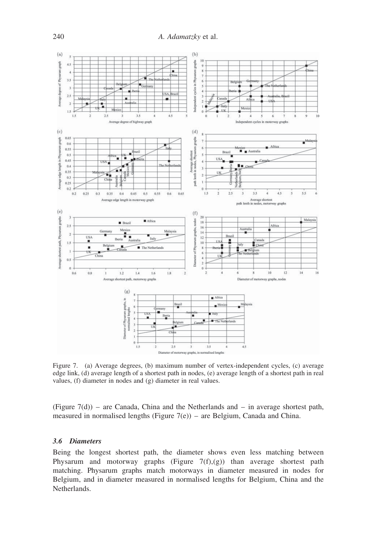

Figure 7. (a) Average degrees, (b) maximum number of vertex-independent cycles, (c) average edge link, (d) average length of a shortest path in nodes, (e) average length of a shortest path in real values, (f) diameter in nodes and (g) diameter in real values.

(Figure 7(d)) – are Canada, China and the Netherlands and – in average shortest path, measured in normalised lengths (Figure 7(e)) – are Belgium, Canada and China.

# 3.6 Diameters

Being the longest shortest path, the diameter shows even less matching between Physarum and motorway graphs (Figure  $7(f)(g)$ ) than average shortest path matching. Physarum graphs match motorways in diameter measured in nodes for Belgium, and in diameter measured in normalised lengths for Belgium, China and the Netherlands.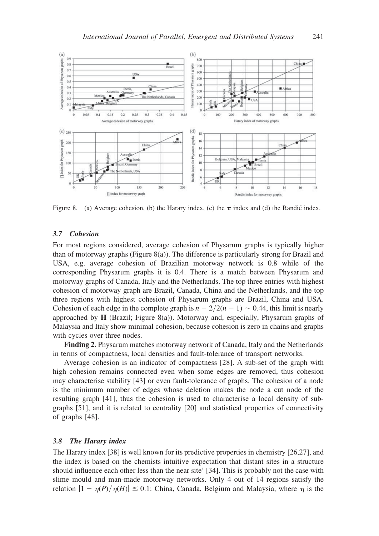

Figure 8. (a) Average cohesion, (b) the Harary index, (c) the  $\pi$  index and (d) the Randic<sup>i</sup> index.

# 3.7 Cohesion

For most regions considered, average cohesion of Physarum graphs is typically higher than of motorway graphs (Figure 8(a)). The difference is particularly strong for Brazil and USA, e.g. average cohesion of Brazilian motorway network is 0.8 while of the corresponding Physarum graphs it is 0.4. There is a match between Physarum and motorway graphs of Canada, Italy and the Netherlands. The top three entries with highest cohesion of motorway graph are Brazil, Canada, China and the Netherlands, and the top three regions with highest cohesion of Physarum graphs are Brazil, China and USA. Cohesion of each edge in the complete graph is  $n - 2/2(n - 1) \sim 0.44$ , this limit is nearly approached by  $H$  (Brazil; Figure 8(a)). Motorway and, especially, Physarum graphs of Malaysia and Italy show minimal cohesion, because cohesion is zero in chains and graphs with cycles over three nodes.

Finding 2. Physarum matches motorway network of Canada, Italy and the Netherlands in terms of compactness, local densities and fault-tolerance of transport networks.

Average cohesion is an indicator of compactness [28]. A sub-set of the graph with high cohesion remains connected even when some edges are removed, thus cohesion may characterise stability [43] or even fault-tolerance of graphs. The cohesion of a node is the minimum number of edges whose deletion makes the node a cut node of the resulting graph [41], thus the cohesion is used to characterise a local density of subgraphs [51], and it is related to centrality [20] and statistical properties of connectivity of graphs [48].

#### 3.8 The Harary index

The Harary index [38] is well known for its predictive properties in chemistry [26,27], and the index is based on the chemists intuitive expectation that distant sites in a structure should influence each other less than the near site' [34]. This is probably not the case with slime mould and man-made motorway networks. Only 4 out of 14 regions satisfy the relation  $|1 - \eta(P)/\eta(H)| \le 0.1$ : China, Canada, Belgium and Malaysia, where  $\eta$  is the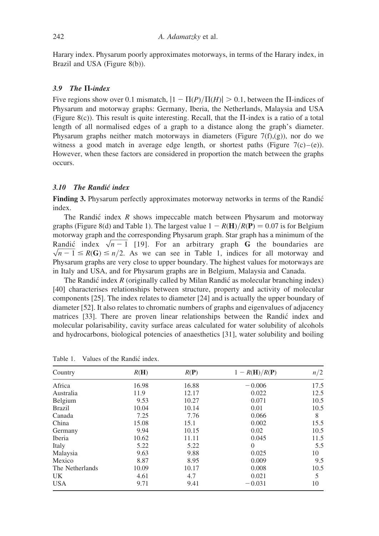Harary index. Physarum poorly approximates motorways, in terms of the Harary index, in Brazil and USA (Figure 8(b)).

# $3.9$  The H-index

Five regions show over 0.1 mismatch,  $|1 - \Pi(P)/\Pi(H)| > 0.1$ , between the  $\Pi$ -indices of Physarum and motorway graphs: Germany, Iberia, the Netherlands, Malaysia and USA (Figure 8(c)). This result is quite interesting. Recall, that the  $\Pi$ -index is a ratio of a total length of all normalised edges of a graph to a distance along the graph's diameter. Physarum graphs neither match motorways in diameters (Figure 7(f),(g)), nor do we witness a good match in average edge length, or shortest paths (Figure  $7(c)$ – $(e)$ ). However, when these factors are considered in proportion the match between the graphs occurs.

# 3.10 The Randic´ index

Finding 3. Physarum perfectly approximates motorway networks in terms of the Randic<sup> $\alpha$ </sup> index.

The Randić index  $R$  shows impeccable match between Physarum and motorway graphs (Figure 8(d) and Table 1). The largest value  $1 - R(H)/R(P) = 0.07$  is for Belgium motorway graph and the corresponding Physarum graph. Star graph has a minimum of the Randic´ index  $\sqrt{n-1}$  [19]. For an arbitrary graph G the boundaries are  $\sqrt{n-1} \le R(G) \le n/2$ . As we can see in Table 1, indices for all motorway and Physarum graphs are very close to upper boundary. The highest values for motorways are in Italy and USA, and for Physarum graphs are in Belgium, Malaysia and Canada.

The Randić index  $R$  (originally called by Milan Randić as molecular branching index) [40] characterises relationships between structure, property and activity of molecular components [25]. The index relates to diameter [24] and is actually the upper boundary of diameter [52]. It also relates to chromatic numbers of graphs and eigenvalues of adjacency matrices [33]. There are proven linear relationships between the Randic´ index and molecular polarisability, cavity surface areas calculated for water solubility of alcohols and hydrocarbons, biological potencies of anaesthetics [31], water solubility and boiling

| Country         | R(H)  | $R(\mathbf{P})$ | $1 - R(H)/R(P)$ | n/2  |
|-----------------|-------|-----------------|-----------------|------|
| Africa          | 16.98 | 16.88           | $-0.006$        | 17.5 |
| Australia       | 11.9  | 12.17           | 0.022           | 12.5 |
| Belgium         | 9.53  | 10.27           | 0.071           | 10.5 |
| <b>Brazil</b>   | 10.04 | 10.14           | 0.01            | 10.5 |
| Canada          | 7.25  | 7.76            | 0.066           | 8    |
| China           | 15.08 | 15.1            | 0.002           | 15.5 |
| Germany         | 9.94  | 10.15           | 0.02            | 10.5 |
| <i>Iberia</i>   | 10.62 | 11.11           | 0.045           | 11.5 |
| Italy           | 5.22  | 5.22            | $\theta$        | 5.5  |
| Malaysia        | 9.63  | 9.88            | 0.025           | 10   |
| Mexico          | 8.87  | 8.95            | 0.009           | 9.5  |
| The Netherlands | 10.09 | 10.17           | 0.008           | 10.5 |
| UK.             | 4.61  | 4.7             | 0.021           | 5    |
| <b>USA</b>      | 9.71  | 9.41            | $-0.031$        | 10   |

Table 1. Values of the Randic<sup>i</sup> ndex.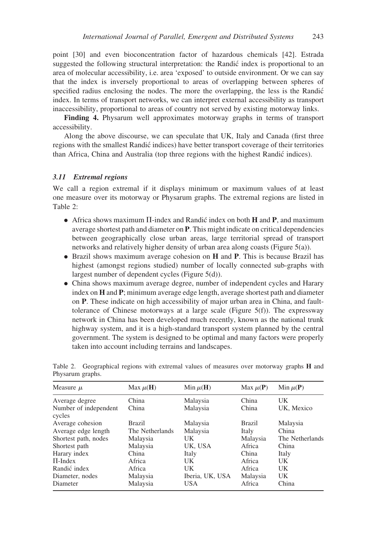point [30] and even bioconcentration factor of hazardous chemicals [42]. Estrada suggested the following structural interpretation: the Randic<sup>i</sup> index is proportional to an area of molecular accessibility, i.e. area 'exposed' to outside environment. Or we can say that the index is inversely proportional to areas of overlapping between spheres of specified radius enclosing the nodes. The more the overlapping, the less is the Randić index. In terms of transport networks, we can interpret external accessibility as transport inaccessibility, proportional to areas of country not served by existing motorway links.

Finding 4. Physarum well approximates motorway graphs in terms of transport accessibility.

Along the above discourse, we can speculate that UK, Italy and Canada (first three regions with the smallest Randic´ indices) have better transport coverage of their territories than Africa, China and Australia (top three regions with the highest Randic´ indices).

# 3.11 Extremal regions

We call a region extremal if it displays minimum or maximum values of at least one measure over its motorway or Physarum graphs. The extremal regions are listed in Table 2:

- $\bullet$  Africa shows maximum  $\Pi$ -index and Randic´ index on both **H** and **P**, and maximum average shortest path and diameter on P. This might indicate on critical dependencies between geographically close urban areas, large territorial spread of transport networks and relatively higher density of urban area along coasts (Figure 5(a)).
- . Brazil shows maximum average cohesion on H and P. This is because Brazil has highest (amongst regions studied) number of locally connected sub-graphs with largest number of dependent cycles (Figure 5(d)).
- . China shows maximum average degree, number of independent cycles and Harary index on H and P; minimum average edge length, average shortest path and diameter on P. These indicate on high accessibility of major urban area in China, and faulttolerance of Chinese motorways at a large scale (Figure 5(f)). The expressway network in China has been developed much recently, known as the national trunk highway system, and it is a high-standard transport system planned by the central government. The system is designed to be optimal and many factors were properly taken into account including terrains and landscapes.

| Measure $\mu$         | Max $\mu$ ( <b>H</b> ) | Min $\mu$ (H)   | Max $\mu(\mathbf{P})$ | Min $\mu(\mathbf{P})$ |
|-----------------------|------------------------|-----------------|-----------------------|-----------------------|
| Average degree        | China                  | Malaysia        | China                 | UK                    |
| Number of independent | China                  | Malaysia        | China                 | UK, Mexico            |
| cycles                |                        |                 |                       |                       |
| Average cohesion      | <b>Brazil</b>          | Malaysia        | <b>Brazil</b>         | Malaysia              |
| Average edge length   | The Netherlands        | Malaysia        | Italy                 | China                 |
| Shortest path, nodes  | Malaysia               | UK.             | Malaysia              | The Netherlands       |
| Shortest path         | Malaysia               | UK, USA         | Africa                | China                 |
| Harary index          | China                  | Italy           | China                 | Italy                 |
| $\Pi$ -Index          | Africa                 | UK.             | Africa                | UK                    |
| Randić index          | Africa                 | <b>UK</b>       | Africa                | UK                    |
| Diameter, nodes       | Malaysia               | Iberia, UK, USA | Malaysia              | UK                    |
| Diameter              | Malaysia               | <b>USA</b>      | Africa                | China                 |

Table 2. Geographical regions with extremal values of measures over motorway graphs H and Physarum graphs.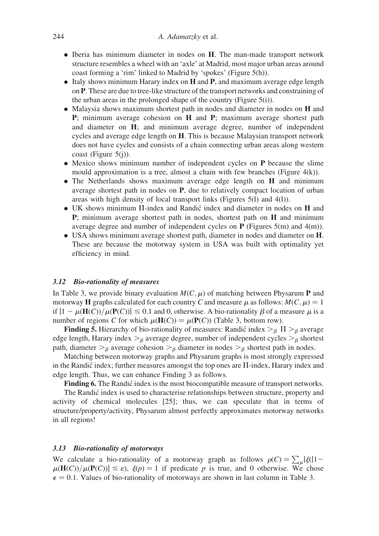- . Iberia has minimum diameter in nodes on H. The man-made transport network structure resembles a wheel with an 'axle' at Madrid, most major urban areas around coast forming a 'rim' linked to Madrid by 'spokes' (Figure 5(h)).
- . Italy shows minimum Harary index on H and P, and maximum average edge length on P. These are due to tree-like structure of the transport networks and constraining of the urban areas in the prolonged shape of the country (Figure 5(i)).
- . Malaysia shows maximum shortest path in nodes and diameter in nodes on H and P; minimum average cohesion on H and P; maximum average shortest path and diameter on H; and minimum average degree, number of independent cycles and average edge length on H. This is because Malaysian transport network does not have cycles and consists of a chain connecting urban areas along western coast (Figure 5(j)).
- . Mexico shows minimum number of independent cycles on P because the slime mould approximation is a tree, almost a chain with few branches (Figure 4(k)).
- The Netherlands shows maximum average edge length on **H** and minimum average shortest path in nodes on P, due to relatively compact location of urban areas with high density of local transport links (Figures 5(l) and 4(l)).
- UK shows minimum  $\Pi$ -index and Randic´ index and diameter in nodes on **H** and P; minimum average shortest path in nodes, shortest path on H and minimum average degree and number of independent cycles on  $P$  (Figures 5(m) and 4(m)).
- . USA shows minimum average shortest path, diameter in nodes and diameter on H. These are because the motorway system in USA was built with optimality yet efficiency in mind.

### 3.12 Bio-rationality of measures

In Table 3, we provide binary evaluation  $M(C, \mu)$  of matching between Physarum **P** and motorway **H** graphs calculated for each country C and measure  $\mu$  as follows:  $M(C, \mu) = 1$ if  $|1 - \mu(H(C))/\mu(P(C))| \le 0.1$  and 0, otherwise. A bio-rationality  $\beta$  of a measure  $\mu$  is a number of regions C for which  $\mu(\mathbf{H}(C)) = \mu(\mathbf{P}(C))$  (Table 3, bottom row).

**Finding 5.** Hierarchy of bio-rationality of measures: Randic´ index  $\geq_\beta$   $\Pi \geq_\beta$  average edge length, Harary index  $\geq_\beta$  average degree, number of independent cycles  $\geq_\beta$  shortest path, diameter  $\geq_\beta$  average cohesion  $\geq_\beta$  diameter in nodes  $\geq_\beta$  shortest path in nodes.

Matching between motorway graphs and Physarum graphs is most strongly expressed in the Randić index; further measures amongst the top ones are  $\Pi$ -index, Harary index and edge length. Thus, we can enhance Finding 3 as follows.

Finding 6. The Randic<sup>i</sup> index is the most biocompatible measure of transport networks.

The Randić index is used to characterise relationships between structure, property and activity of chemical molecules [25]; thus, we can speculate that in terms of structure/property/activity, Physarum almost perfectly approximates motorway networks in all regions!

#### 3.13 Bio-rationality of motorways

We calculate a bio-rationality of a motorway graph as follows  $\rho(C) = \sum_{\mu} |\xi| (1 \mu(\mathbf{H}(C))/\mu(\mathbf{P}(C)) \leq \varepsilon$ ,  $\xi(p) = 1$  if predicate p is true, and 0 otherwise. We chose  $\epsilon = 0.1$ . Values of bio-rationality of motorways are shown in last column in Table 3.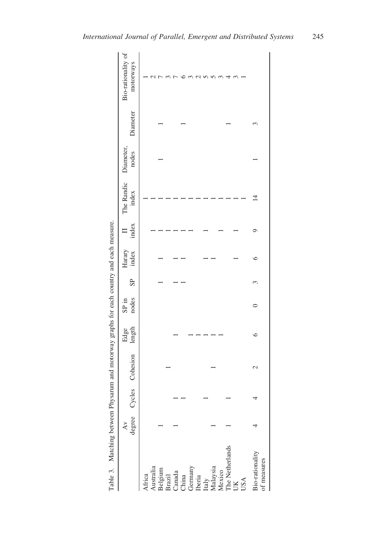|                                                                                                                           |                 |                        | .<br>ب  |       |                |        |       |                      |       |          |                    |
|---------------------------------------------------------------------------------------------------------------------------|-----------------|------------------------|---------|-------|----------------|--------|-------|----------------------|-------|----------|--------------------|
|                                                                                                                           | $\overline{A}V$ |                        | Edge    | SP in |                | Harary |       | The Randic Diameter, |       |          | Bio-rationality of |
|                                                                                                                           |                 | degree Cycles Cohesion | length  | nodes | S <sub>P</sub> | index  | index | index                | nodes | Diameter | motorways          |
| Africa                                                                                                                    |                 |                        |         |       |                |        |       |                      |       |          |                    |
|                                                                                                                           |                 |                        |         |       |                |        |       |                      |       |          |                    |
|                                                                                                                           |                 |                        |         |       |                |        |       |                      |       |          |                    |
|                                                                                                                           |                 |                        |         |       |                |        |       |                      |       |          |                    |
|                                                                                                                           |                 |                        |         |       |                |        |       |                      |       |          |                    |
|                                                                                                                           |                 |                        |         |       |                |        |       |                      |       |          |                    |
|                                                                                                                           |                 |                        |         |       |                |        |       |                      |       |          |                    |
|                                                                                                                           |                 |                        |         |       |                |        |       |                      |       |          |                    |
|                                                                                                                           |                 |                        |         |       |                |        |       |                      |       |          |                    |
| Australia<br>Belgium<br>Brazil<br>Cranada<br>Cranany<br>Cermany<br>Malaysia<br>Malaysia<br>Malaysia<br>Malaysia<br>Mexico |                 |                        |         |       |                |        |       |                      |       |          |                    |
|                                                                                                                           |                 |                        |         |       |                |        |       |                      |       |          |                    |
|                                                                                                                           |                 |                        |         |       |                |        |       |                      |       |          |                    |
| USA<br>UK                                                                                                                 |                 |                        |         |       |                |        |       |                      |       |          |                    |
| Bio-rationality<br>of measures                                                                                            |                 | $\mathbin{\sim}$       | $\circ$ |       | ς              |        | ∽     | $\overline{4}$       |       | ω        |                    |

Table 3. Matching between Physarum and motorway graphs for each country and each measure. Table 3. Matching between Physarum and motorway graphs for each country and each measure.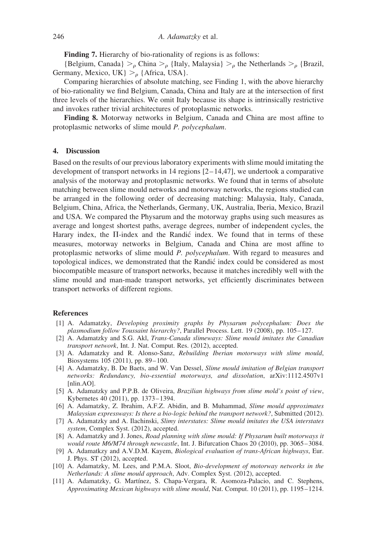Finding 7. Hierarchy of bio-rationality of regions is as follows:

{Belgium, Canada} >  $\sim_{\rho}$  China >  $\sim_{\rho}$  {Italy, Malaysia} >  $\sim_{\rho}$  the Netherlands >  $\sim_{\rho}$  {Brazil, Germany, Mexico, UK}  $>_{\rho}$  {Africa, USA}.

Comparing hierarchies of absolute matching, see Finding 1, with the above hierarchy of bio-rationality we find Belgium, Canada, China and Italy are at the intersection of first three levels of the hierarchies. We omit Italy because its shape is intrinsically restrictive and invokes rather trivial architectures of protoplasmic networks.

Finding 8. Motorway networks in Belgium, Canada and China are most affine to protoplasmic networks of slime mould P. polycephalum.

#### 4. Discussion

Based on the results of our previous laboratory experiments with slime mould imitating the development of transport networks in  $14$  regions  $[2-14,47]$ , we undertook a comparative analysis of the motorway and protoplasmic networks. We found that in terms of absolute matching between slime mould networks and motorway networks, the regions studied can be arranged in the following order of decreasing matching: Malaysia, Italy, Canada, Belgium, China, Africa, the Netherlands, Germany, UK, Australia, Iberia, Mexico, Brazil and USA. We compared the Physarum and the motorway graphs using such measures as average and longest shortest paths, average degrees, number of independent cycles, the Harary index, the  $\Pi$ -index and the Randic<sup> $i$ </sup> index. We found that in terms of these measures, motorway networks in Belgium, Canada and China are most affine to protoplasmic networks of slime mould P. polycephalum. With regard to measures and topological indices, we demonstrated that the Randic´ index could be considered as most biocompatible measure of transport networks, because it matches incredibly well with the slime mould and man-made transport networks, yet efficiently discriminates between transport networks of different regions.

#### References

- [1] A. Adamatzky, Developing proximity graphs by Physarum polycephalum: Does the plasmodium follow Toussaint hierarchy?, Parallel Process. Lett. 19 (2008), pp. 105– 127.
- [2] A. Adamatzky and S.G. Akl, *Trans-Canada slimeways: Slime mould imitates the Canadian* transport network, Int. J. Nat. Comput. Res. (2012), accepted.
- [3] A. Adamatzky and R. Alonso-Sanz, Rebuilding Iberian motorways with slime mould, Biosystems 105 (2011), pp. 89-100.
- [4] A. Adamatzky, B. De Baets, and W. Van Dessel, *Slime mould imitation of Belgian transport* networks: Redundancy, bio-essential motorways, and dissolution, arXiv:1112.4507v1 [nlin.AO].
- [5] A. Adamatzky and P.P.B. de Oliveira, *Brazilian highways from slime mold's point of view*, Kybernetes 40 (2011), pp. 1373– 1394.
- [6] A. Adamatzky, Z. Ibrahim, A.F.Z. Abidin, and B. Muhammad, Slime mould approximates Malaysian expressways: Is there a bio-logic behind the transport network?, Submitted (2012).
- [7] A. Adamatzky and A. Ilachinski, Slimy interstates: Slime mould imitates the USA interstates system, Complex Syst. (2012), accepted.
- [8] A. Adamatzky and J. Jones, *Road planning with slime mould: If Physarum built motorways it* would route M6/M74 through newcastle, Int. J. Bifurcation Chaos 20 (2010), pp. 3065 –3084.
- [9] A. Adamatkzy and A.V.D.M. Kayem, Biological evaluation of trans-African highways, Eur. J. Phys. ST (2012), accepted.
- [10] A. Adamatzky, M. Lees, and P.M.A. Sloot, *Bio-development of motorway networks in the* Netherlands: A slime mould approach, Adv. Complex Syst. (2012), accepted.
- [11] A. Adamatzky, G. Martínez, S. Chapa-Vergara, R. Asomoza-Palacio, and C. Stephens, Approximating Mexican highways with slime mould, Nat. Comput. 10 (2011), pp. 1195– 1214.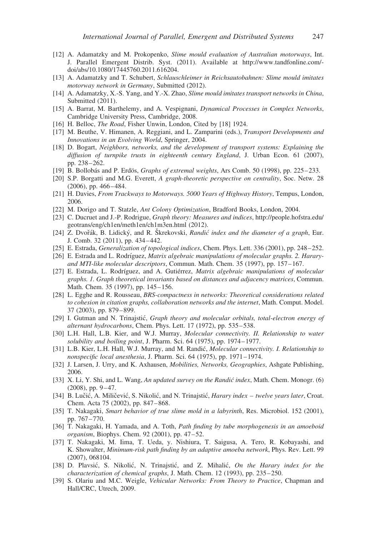- [12] A. Adamatzky and M. Prokopenko, Slime mould evaluation of Australian motorways, Int. J. Parallel Emergent Distrib. Syst. (2011). Available at http://www.tandfonline.com/ doi/abs/10.1080/17445760.2011.616204.
- [13] A. Adamatzky and T. Schubert, Schlauschleimer in Reichsautobahnen: Slime mould imitates motorway network in Germany, Submitted (2012).
- [14] A. Adamatzky, X.-S. Yang, and Y.-X. Zhao, Slime mould imitates transport networks in China, Submitted (2011).
- [15] A. Barrat, M. Barthelemy, and A. Vespignani, Dynamical Processes in Complex Networks, Cambridge University Press, Cambridge, 2008.
- [16] H. Belloc, *The Road*, Fisher Unwin, London, Cited by [18] 1924.
- [17] M. Beuthe, V. Himanen, A. Reggiani, and L. Zamparini (eds.), Transport Developments and Innovations in an Evolving World, Springer, 2004.
- [18] D. Bogart, Neighbors, networks, and the development of transport systems: Explaining the diffusion of turnpike trusts in eighteenth century England, J. Urban Econ. 61 (2007), pp. 238–262.
- [19] B. Bollobás and P. Erdös, Graphs of extremal weights, Ars Comb. 50 (1998), pp. 225–233.
- [20] S.P. Borgatti and M.G. Everett, A graph-theoretic perspective on centrality, Soc. Netw. 28  $(2006)$ , pp.  $466 - 484$ .
- [21] H. Davies, From Trackways to Motorways. 5000 Years of Highway History, Tempus, London, 2006.
- [22] M. Dorigo and T. Statzle, Ant Colony Optimization, Bradford Books, London, 2004.
- [23] C. Ducruet and J.-P. Rodrigue, Graph theory: Measures and indices, http://people.hofstra.edu/ geotrans/eng/ch1en/meth1en/ch1m3en.html (2012).
- [24] Z. Dvořák, B. Lidický, and R. Škrekovski, Randić index and the diameter of a graph, Eur. J. Comb. 32 (2011), pp. 434– 442.
- [25] E. Estrada, Generalization of topological indices, Chem. Phys. Lett. 336 (2001), pp. 248–252.
- [26] E. Estrada and L. Rodríguez, Matrix algebraic manipulations of molecular graphs. 2. Hararyand MTI-like molecular descriptors, Commun. Math. Chem. 35 (1997), pp. 157– 167.
- [27] E. Estrada, L. Rodríguez, and A. Gutiérrez, Matrix algebraic manipulations of molecular graphs. 1. Graph theoretical invariants based on distances and adjacency matrices, Commun. Math. Chem. 35 (1997), pp. 145–156.
- [28] L. Egghe and R. Rousseau, BRS-compactness in networks: Theoretical considerations related to cohesion in citation graphs, collaboration networks and the internet, Math. Comput. Model. 37 (2003), pp. 879– 899.
- [29] I. Gutman and N. Trinajstic<sup>\*</sup>, Graph theory and molecular orbitals, total-electron energy of alternant hydrocarbons, Chem. Phys. Lett. 17 (1972), pp. 535–538.
- [30] L.H. Hall, L.B. Kier, and W.J. Murray, *Molecular connectivity. II. Relationship to water* solubility and boiling point, J. Pharm. Sci. 64 (1975), pp. 1974– 1977.
- [31] L.B. Kier, L.H. Hall, W.J. Murray, and M. Randić, Molecular connectivity. I. Relationship to nonspecific local anesthesia, J. Pharm. Sci. 64 (1975), pp. 1971 –1974.
- [32] J. Larsen, J. Urry, and K. Axhausen, *Mobilities, Networks, Geographies*, Ashgate Publishing, 2006.
- [33] X. Li, Y. Shi, and L. Wang, An updated survey on the Randić index, Math. Chem. Monogr. (6)  $(2008)$ , pp.  $9-47$ .
- [34] B. Lučić, A. Miličević, S. Nikolić, and N. Trinajstić, Harary index twelve years later, Croat. Chem. Acta 75 (2002), pp. 847– 868.
- [35] T. Nakagaki, Smart behavior of true slime mold in a labyrinth, Res. Microbiol. 152 (2001), pp. 767–770.
- [36] T. Nakagaki, H. Yamada, and A. Toth, *Path finding by tube morphogenesis in an amoeboid* organism, Biophys. Chem. 92 (2001), pp. 47 – 52.
- [37] T. Nakagaki, M. Iima, T. Ueda, y. Nishiura, T. Saigusa, A. Tero, R. Kobayashi, and K. Showalter, Minimum-risk path finding by an adaptive amoeba network, Phys. Rev. Lett. 99 (2007), 068104.
- [38] D. Plavsić, S. Nikolić, N. Trinajstić, and Z. Mihalić, On the Harary index for the characterization of chemical graphs, J. Math. Chem. 12 (1993), pp. 235– 250.
- [39] S. Olariu and M.C. Weigle, Vehicular Networks: From Theory to Practice, Chapman and Hall/CRC, Utrech, 2009.